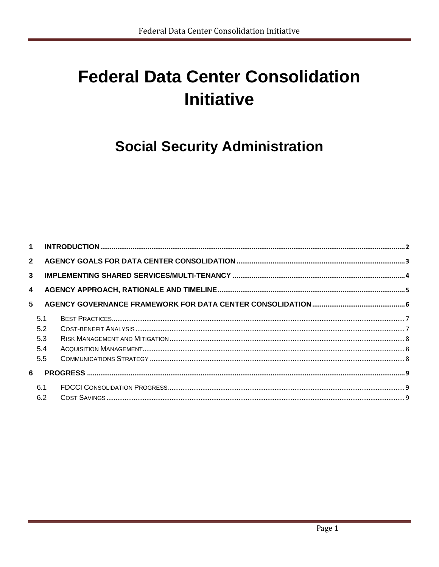# **Federal Data Center Consolidation Initiative**

# **Social Security Administration**

| 1 <sup>1</sup> |     |  |
|----------------|-----|--|
| $2^{\circ}$    |     |  |
| $\mathbf{3}$   |     |  |
| $\overline{4}$ |     |  |
| 5              |     |  |
|                | 5.1 |  |
|                | 5.2 |  |
|                | 5.3 |  |
|                | 5.4 |  |
|                | 5.5 |  |
| 6              |     |  |
|                | 6.1 |  |
|                | 6.2 |  |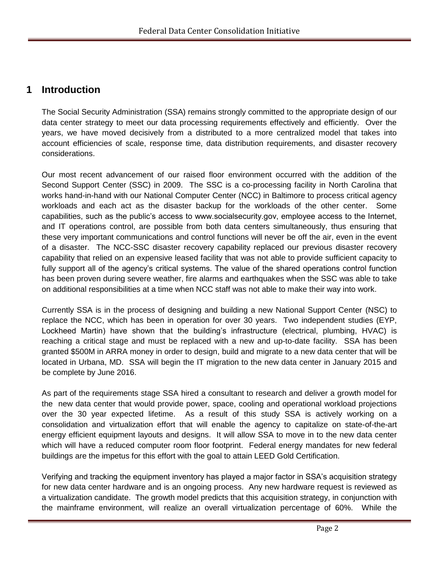### **1 Introduction**

The Social Security Administration (SSA) remains strongly committed to the appropriate design of our data center strategy to meet our data processing requirements effectively and efficiently. Over the years, we have moved decisively from a distributed to a more centralized model that takes into account efficiencies of scale, response time, data distribution requirements, and disaster recovery considerations.

Our most recent advancement of our raised floor environment occurred with the addition of the Second Support Center (SSC) in 2009. The SSC is a co-processing facility in North Carolina that works hand-in-hand with our National Computer Center (NCC) in Baltimore to process critical agency workloads and each act as the disaster backup for the workloads of the other center. Some capabilities, such as the public's access to www.socialsecurity.gov, employee access to the Internet, and IT operations control, are possible from both data centers simultaneously, thus ensuring that these very important communications and control functions will never be off the air, even in the event of a disaster. The NCC-SSC disaster recovery capability replaced our previous disaster recovery capability that relied on an expensive leased facility that was not able to provide sufficient capacity to fully support all of the agency's critical systems. The value of the shared operations control function has been proven during severe weather, fire alarms and earthquakes when the SSC was able to take on additional responsibilities at a time when NCC staff was not able to make their way into work.

Currently SSA is in the process of designing and building a new National Support Center (NSC) to replace the NCC, which has been in operation for over 30 years. Two independent studies (EYP, Lockheed Martin) have shown that the building's infrastructure (electrical, plumbing, HVAC) is reaching a critical stage and must be replaced with a new and up-to-date facility. SSA has been granted \$500M in ARRA money in order to design, build and migrate to a new data center that will be located in Urbana, MD. SSA will begin the IT migration to the new data center in January 2015 and be complete by June 2016.

As part of the requirements stage SSA hired a consultant to research and deliver a growth model for the new data center that would provide power, space, cooling and operational workload projections over the 30 year expected lifetime. As a result of this study SSA is actively working on a consolidation and virtualization effort that will enable the agency to capitalize on state-of-the-art energy efficient equipment layouts and designs. It will allow SSA to move in to the new data center which will have a reduced computer room floor footprint. Federal energy mandates for new federal buildings are the impetus for this effort with the goal to attain LEED Gold Certification.

Verifying and tracking the equipment inventory has played a major factor in SSA's acquisition strategy for new data center hardware and is an ongoing process. Any new hardware request is reviewed as a virtualization candidate. The growth model predicts that this acquisition strategy, in conjunction with the mainframe environment, will realize an overall virtualization percentage of 60%. While the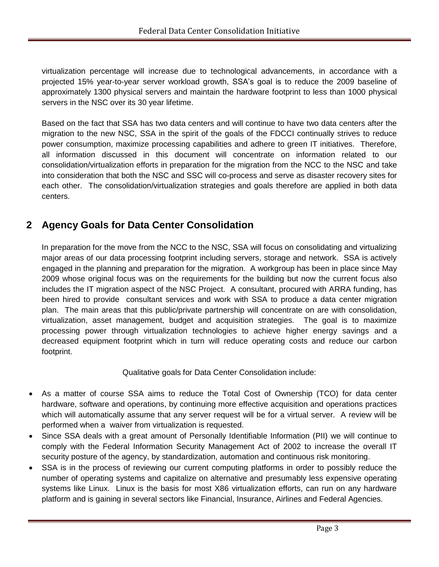virtualization percentage will increase due to technological advancements, in accordance with a projected 15% year-to-year server workload growth, SSA's goal is to reduce the 2009 baseline of approximately 1300 physical servers and maintain the hardware footprint to less than 1000 physical servers in the NSC over its 30 year lifetime.

Based on the fact that SSA has two data centers and will continue to have two data centers after the migration to the new NSC, SSA in the spirit of the goals of the FDCCI continually strives to reduce power consumption, maximize processing capabilities and adhere to green IT initiatives. Therefore, all information discussed in this document will concentrate on information related to our consolidation/virtualization efforts in preparation for the migration from the NCC to the NSC and take into consideration that both the NSC and SSC will co-process and serve as disaster recovery sites for each other. The consolidation/virtualization strategies and goals therefore are applied in both data centers.

# **2 Agency Goals for Data Center Consolidation**

In preparation for the move from the NCC to the NSC, SSA will focus on consolidating and virtualizing major areas of our data processing footprint including servers, storage and network. SSA is actively engaged in the planning and preparation for the migration. A workgroup has been in place since May 2009 whose original focus was on the requirements for the building but now the current focus also includes the IT migration aspect of the NSC Project. A consultant, procured with ARRA funding, has been hired to provide consultant services and work with SSA to produce a data center migration plan. The main areas that this public/private partnership will concentrate on are with consolidation, virtualization, asset management, budget and acquisition strategies. The goal is to maximize processing power through virtualization technologies to achieve higher energy savings and a decreased equipment footprint which in turn will reduce operating costs and reduce our carbon footprint.

Qualitative goals for Data Center Consolidation include:

- As a matter of course SSA aims to reduce the Total Cost of Ownership (TCO) for data center hardware, software and operations, by continuing more effective acquisition and operations practices which will automatically assume that any server request will be for a virtual server. A review will be performed when a waiver from virtualization is requested.
- Since SSA deals with a great amount of Personally Identifiable Information (PII) we will continue to comply with the Federal Information Security Management Act of 2002 to increase the overall IT security posture of the agency, by standardization, automation and continuous risk monitoring.
- SSA is in the process of reviewing our current computing platforms in order to possibly reduce the number of operating systems and capitalize on alternative and presumably less expensive operating systems like Linux. Linux is the basis for most X86 virtualization efforts, can run on any hardware platform and is gaining in several sectors like Financial, Insurance, Airlines and Federal Agencies.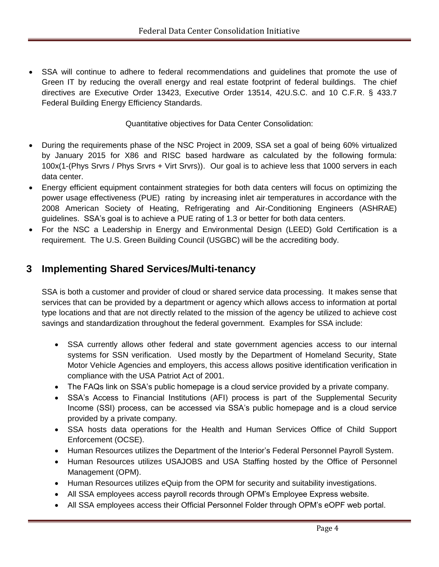SSA will continue to adhere to federal recommendations and guidelines that promote the use of Green IT by reducing the overall energy and real estate footprint of federal buildings. The chief directives are Executive Order 13423, Executive Order 13514, 42U.S.C. and 10 C.F.R. § 433.7 Federal Building Energy Efficiency Standards.

Quantitative objectives for Data Center Consolidation:

- During the requirements phase of the NSC Project in 2009, SSA set a goal of being 60% virtualized by January 2015 for X86 and RISC based hardware as calculated by the following formula: 100x(1-(Phys Srvrs / Phys Srvrs + Virt Srvrs)). Our goal is to achieve less that 1000 servers in each data center.
- Energy efficient equipment containment strategies for both data centers will focus on optimizing the power usage effectiveness (PUE) rating by increasing inlet air temperatures in accordance with the 2008 American Society of Heating, Refrigerating and Air-Conditioning Engineers (ASHRAE) guidelines. SSA's goal is to achieve a PUE rating of 1.3 or better for both data centers.
- For the NSC a Leadership in Energy and Environmental Design (LEED) Gold Certification is a requirement. The U.S. Green Building Council (USGBC) will be the accrediting body.

# **3 Implementing Shared Services/Multi-tenancy**

SSA is both a customer and provider of cloud or shared service data processing. It makes sense that services that can be provided by a department or agency which allows access to information at portal type locations and that are not directly related to the mission of the agency be utilized to achieve cost savings and standardization throughout the federal government. Examples for SSA include:

- SSA currently allows other federal and state government agencies access to our internal systems for SSN verification. Used mostly by the Department of Homeland Security, State Motor Vehicle Agencies and employers, this access allows positive identification verification in compliance with the USA Patriot Act of 2001.
- The FAQs link on SSA's public homepage is a cloud service provided by a private company.
- SSA's Access to Financial Institutions (AFI) process is part of the Supplemental Security Income (SSI) process, can be accessed via SSA's public homepage and is a cloud service provided by a private company.
- SSA hosts data operations for the Health and Human Services Office of Child Support Enforcement (OCSE).
- Human Resources utilizes the Department of the Interior's Federal Personnel Payroll System.
- Human Resources utilizes USAJOBS and USA Staffing hosted by the Office of Personnel Management (OPM).
- Human Resources utilizes eQuip from the OPM for security and suitability investigations.
- All SSA employees access payroll records through OPM's Employee Express website.
- All SSA employees access their Official Personnel Folder through OPM's eOPF web portal.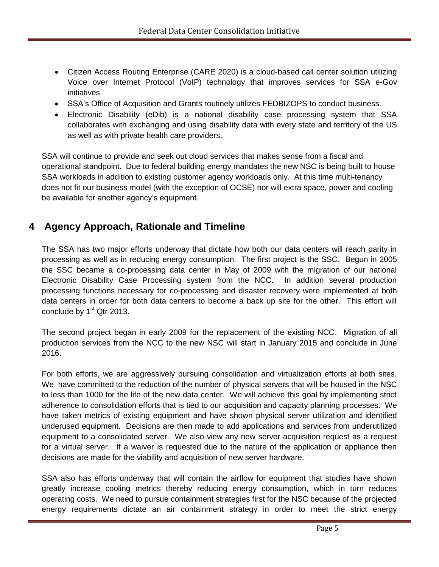- Citizen Access Routing Enterprise (CARE 2020) is a cloud-based call center solution utilizing Voice over Internet Protocol (VoIP) technology that improves services for SSA e-Gov initiatives.
- SSA's Office of Acquisition and Grants routinely utilizes FEDBIZOPS to conduct business.
- Electronic Disability (eDib) is a national disability case processing system that SSA collaborates with exchanging and using disability data with every state and territory of the US as well as with private health care providers.

SSA will continue to provide and seek out cloud services that makes sense from a fiscal and operational standpoint. Due to federal building energy mandates the new NSC is being built to house SSA workloads in addition to existing customer agency workloads only. At this time multi-tenancy does not fit our business model (with the exception of OCSE) nor will extra space, power and cooling be available for another agency's equipment.

# **4 Agency Approach, Rationale and Timeline**

The SSA has two major efforts underway that dictate how both our data centers will reach parity in processing as well as in reducing energy consumption. The first project is the SSC. Begun in 2005 the SSC became a co-processing data center in May of 2009 with the migration of our national Electronic Disability Case Processing system from the NCC. In addition several production processing functions necessary for co-processing and disaster recovery were implemented at both data centers in order for both data centers to become a back up site for the other. This effort will conclude by  $1<sup>st</sup>$  Qtr 2013.

The second project began in early 2009 for the replacement of the existing NCC. Migration of all production services from the NCC to the new NSC will start in January 2015 and conclude in June 2016.

For both efforts, we are aggressively pursuing consolidation and virtualization efforts at both sites. We have committed to the reduction of the number of physical servers that will be housed in the NSC to less than 1000 for the life of the new data center. We will achieve this goal by implementing strict adherence to consolidation efforts that is tied to our acquisition and capacity planning processes. We have taken metrics of existing equipment and have shown physical server utilization and identified underused equipment. Decisions are then made to add applications and services from underutilized equipment to a consolidated server. We also view any new server acquisition request as a request for a virtual server. If a waiver is requested due to the nature of the application or appliance then decisions are made for the viability and acquisition of new server hardware.

SSA also has efforts underway that will contain the airflow for equipment that studies have shown greatly increase cooling metrics thereby reducing energy consumption, which in turn reduces operating costs. We need to pursue containment strategies first for the NSC because of the projected energy requirements dictate an air containment strategy in order to meet the strict energy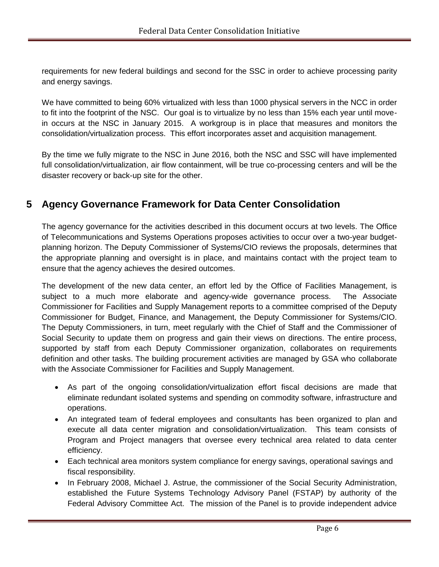requirements for new federal buildings and second for the SSC in order to achieve processing parity and energy savings.

We have committed to being 60% virtualized with less than 1000 physical servers in the NCC in order to fit into the footprint of the NSC. Our goal is to virtualize by no less than 15% each year until movein occurs at the NSC in January 2015. A workgroup is in place that measures and monitors the consolidation/virtualization process. This effort incorporates asset and acquisition management.

By the time we fully migrate to the NSC in June 2016, both the NSC and SSC will have implemented full consolidation/virtualization, air flow containment, will be true co-processing centers and will be the disaster recovery or back-up site for the other.

## **5 Agency Governance Framework for Data Center Consolidation**

The agency governance for the activities described in this document occurs at two levels. The Office of Telecommunications and Systems Operations proposes activities to occur over a two-year budgetplanning horizon. The Deputy Commissioner of Systems/CIO reviews the proposals, determines that the appropriate planning and oversight is in place, and maintains contact with the project team to ensure that the agency achieves the desired outcomes.

The development of the new data center, an effort led by the Office of Facilities Management, is subject to a much more elaborate and agency-wide governance process. The Associate Commissioner for Facilities and Supply Management reports to a committee comprised of the Deputy Commissioner for Budget, Finance, and Management, the Deputy Commissioner for Systems/CIO. The Deputy Commissioners, in turn, meet regularly with the Chief of Staff and the Commissioner of Social Security to update them on progress and gain their views on directions. The entire process, supported by staff from each Deputy Commissioner organization, collaborates on requirements definition and other tasks. The building procurement activities are managed by GSA who collaborate with the Associate Commissioner for Facilities and Supply Management.

- As part of the ongoing consolidation/virtualization effort fiscal decisions are made that eliminate redundant isolated systems and spending on commodity software, infrastructure and operations.
- An integrated team of federal employees and consultants has been organized to plan and execute all data center migration and consolidation/virtualization. This team consists of Program and Project managers that oversee every technical area related to data center efficiency.
- Each technical area monitors system compliance for energy savings, operational savings and fiscal responsibility.
- In February 2008, Michael J. Astrue, the commissioner of the Social Security Administration, established the Future Systems Technology Advisory Panel (FSTAP) by authority of the Federal Advisory Committee Act. The mission of the Panel is to provide independent advice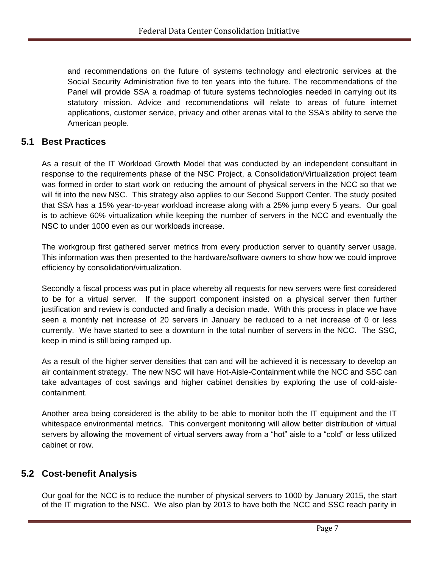and recommendations on the future of systems technology and electronic services at the Social Security Administration five to ten years into the future. The recommendations of the Panel will provide SSA a roadmap of future systems technologies needed in carrying out its statutory mission. Advice and recommendations will relate to areas of future internet applications, customer service, privacy and other arenas vital to the SSA's ability to serve the American people.

#### **5.1 Best Practices**

As a result of the IT Workload Growth Model that was conducted by an independent consultant in response to the requirements phase of the NSC Project, a Consolidation/Virtualization project team was formed in order to start work on reducing the amount of physical servers in the NCC so that we will fit into the new NSC. This strategy also applies to our Second Support Center. The study posited that SSA has a 15% year-to-year workload increase along with a 25% jump every 5 years. Our goal is to achieve 60% virtualization while keeping the number of servers in the NCC and eventually the NSC to under 1000 even as our workloads increase.

The workgroup first gathered server metrics from every production server to quantify server usage. This information was then presented to the hardware/software owners to show how we could improve efficiency by consolidation/virtualization.

Secondly a fiscal process was put in place whereby all requests for new servers were first considered to be for a virtual server. If the support component insisted on a physical server then further justification and review is conducted and finally a decision made. With this process in place we have seen a monthly net increase of 20 servers in January be reduced to a net increase of 0 or less currently. We have started to see a downturn in the total number of servers in the NCC. The SSC, keep in mind is still being ramped up.

As a result of the higher server densities that can and will be achieved it is necessary to develop an air containment strategy. The new NSC will have Hot-Aisle-Containment while the NCC and SSC can take advantages of cost savings and higher cabinet densities by exploring the use of cold-aislecontainment.

Another area being considered is the ability to be able to monitor both the IT equipment and the IT whitespace environmental metrics. This convergent monitoring will allow better distribution of virtual servers by allowing the movement of virtual servers away from a "hot" aisle to a "cold" or less utilized cabinet or row.

#### **5.2 Cost-benefit Analysis**

Our goal for the NCC is to reduce the number of physical servers to 1000 by January 2015, the start of the IT migration to the NSC. We also plan by 2013 to have both the NCC and SSC reach parity in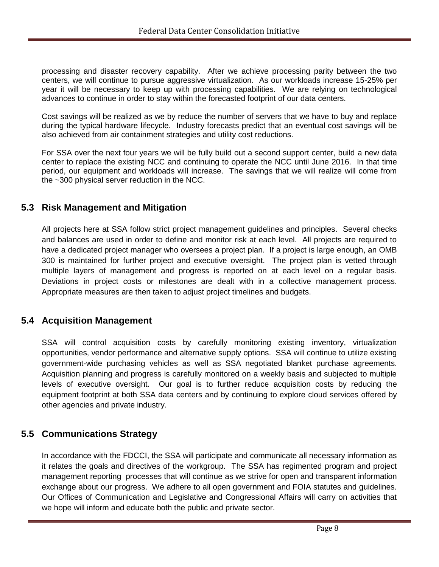processing and disaster recovery capability. After we achieve processing parity between the two centers, we will continue to pursue aggressive virtualization. As our workloads increase 15-25% per year it will be necessary to keep up with processing capabilities. We are relying on technological advances to continue in order to stay within the forecasted footprint of our data centers.

Cost savings will be realized as we by reduce the number of servers that we have to buy and replace during the typical hardware lifecycle. Industry forecasts predict that an eventual cost savings will be also achieved from air containment strategies and utility cost reductions.

For SSA over the next four years we will be fully build out a second support center, build a new data center to replace the existing NCC and continuing to operate the NCC until June 2016. In that time period, our equipment and workloads will increase. The savings that we will realize will come from the ~300 physical server reduction in the NCC.

#### **5.3 Risk Management and Mitigation**

All projects here at SSA follow strict project management guidelines and principles. Several checks and balances are used in order to define and monitor risk at each level. All projects are required to have a dedicated project manager who oversees a project plan. If a project is large enough, an OMB 300 is maintained for further project and executive oversight. The project plan is vetted through multiple layers of management and progress is reported on at each level on a regular basis. Deviations in project costs or milestones are dealt with in a collective management process. Appropriate measures are then taken to adjust project timelines and budgets.

#### **5.4 Acquisition Management**

SSA will control acquisition costs by carefully monitoring existing inventory, virtualization opportunities, vendor performance and alternative supply options. SSA will continue to utilize existing government-wide purchasing vehicles as well as SSA negotiated blanket purchase agreements. Acquisition planning and progress is carefully monitored on a weekly basis and subjected to multiple levels of executive oversight. Our goal is to further reduce acquisition costs by reducing the equipment footprint at both SSA data centers and by continuing to explore cloud services offered by other agencies and private industry.

#### **5.5 Communications Strategy**

In accordance with the FDCCI, the SSA will participate and communicate all necessary information as it relates the goals and directives of the workgroup. The SSA has regimented program and project management reporting processes that will continue as we strive for open and transparent information exchange about our progress. We adhere to all open government and FOIA statutes and guidelines. Our Offices of Communication and Legislative and Congressional Affairs will carry on activities that we hope will inform and educate both the public and private sector.